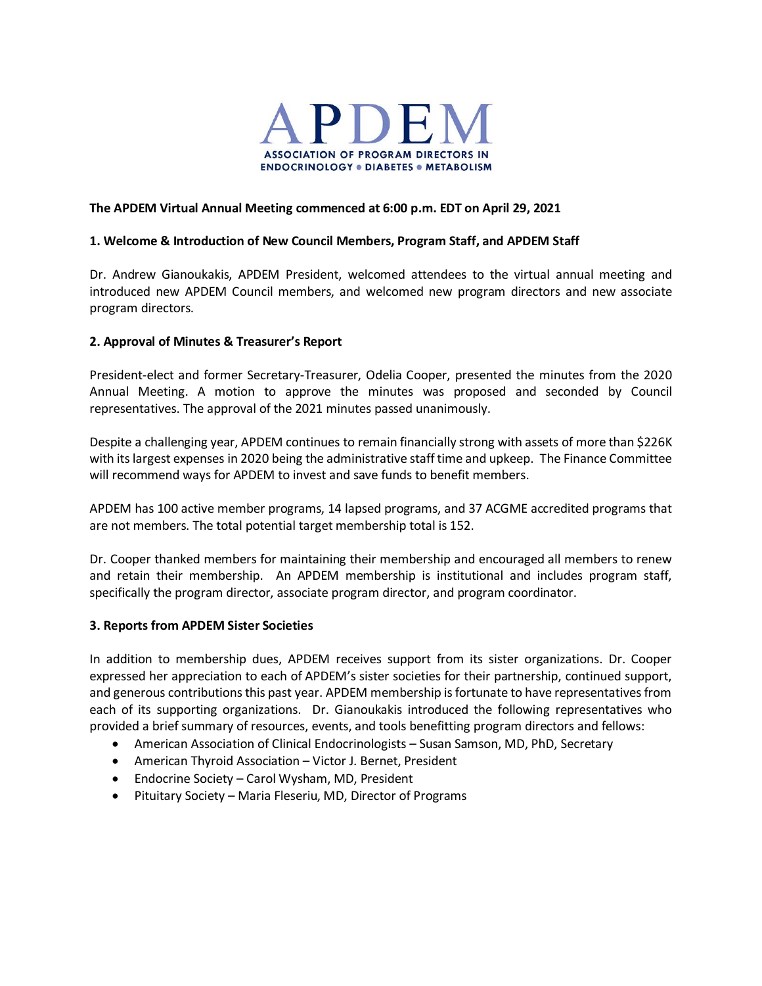

#### **The APDEM Virtual Annual Meeting commenced at 6:00 p.m. EDT on April 29, 2021**

#### **1. Welcome & Introduction of New Council Members, Program Staff, and APDEM Staff**

Dr. Andrew Gianoukakis, APDEM President, welcomed attendees to the virtual annual meeting and introduced new APDEM Council members, and welcomed new program directors and new associate program directors.

#### **2. Approval of Minutes & Treasurer's Report**

President-elect and former Secretary-Treasurer, Odelia Cooper, presented the minutes from the 2020 Annual Meeting. A motion to approve the minutes was proposed and seconded by Council representatives. The approval of the 2021 minutes passed unanimously.

Despite a challenging year, APDEM continues to remain financially strong with assets of more than \$226K with its largest expenses in 2020 being the administrative staff time and upkeep. The Finance Committee will recommend ways for APDEM to invest and save funds to benefit members.

APDEM has 100 active member programs, 14 lapsed programs, and 37 ACGME accredited programs that are not members. The total potential target membership total is 152.

Dr. Cooper thanked members for maintaining their membership and encouraged all members to renew and retain their membership. An APDEM membership is institutional and includes program staff, specifically the program director, associate program director, and program coordinator.

#### **3. Reports from APDEM Sister Societies**

In addition to membership dues, APDEM receives support from its sister organizations. Dr. Cooper expressed her appreciation to each of APDEM's sister societies for their partnership, continued support, and generous contributions this past year. APDEM membership is fortunate to have representatives from each of its supporting organizations. Dr. Gianoukakis introduced the following representatives who provided a brief summary of resources, events, and tools benefitting program directors and fellows:

- American Association of Clinical Endocrinologists Susan Samson, MD, PhD, Secretary
- American Thyroid Association Victor J. Bernet, President
- Endocrine Society Carol Wysham, MD, President
- Pituitary Society Maria Fleseriu, MD, Director of Programs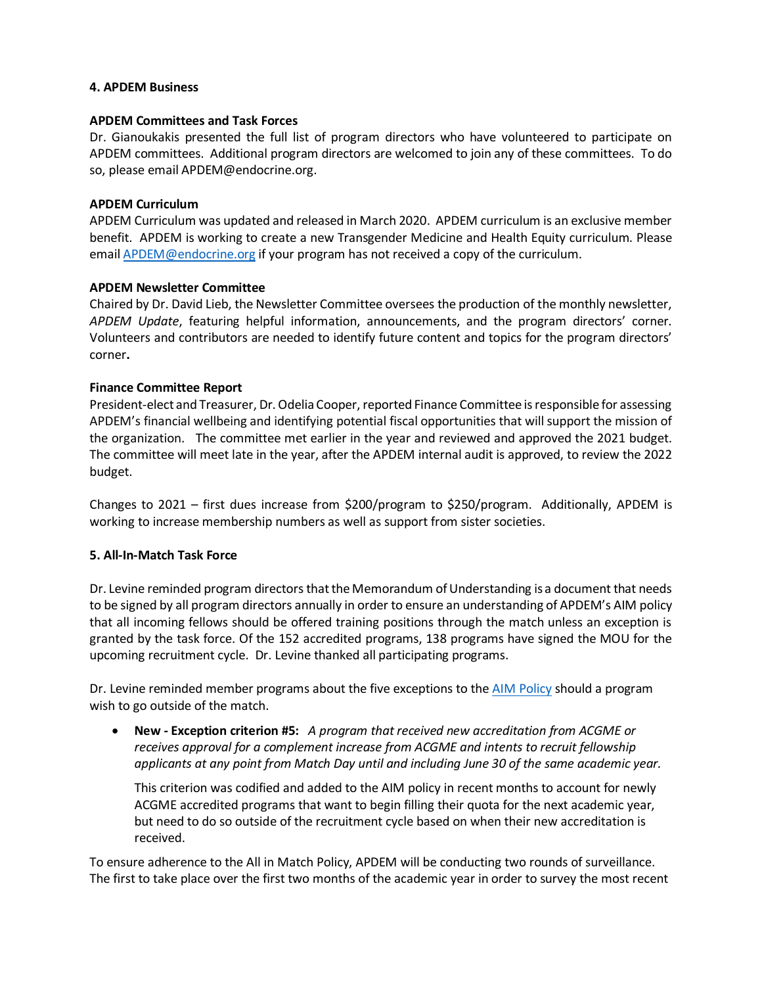#### **4. APDEM Business**

#### **APDEM Committees and Task Forces**

Dr. Gianoukakis presented the full list of program directors who have volunteered to participate on APDEM committees. Additional program directors are welcomed to join any of these committees. To do so, please email APDEM@endocrine.org.

#### **APDEM Curriculum**

APDEM Curriculum was updated and released in March 2020. APDEM curriculum is an exclusive member benefit. APDEM is working to create a new Transgender Medicine and Health Equity curriculum. Please email [APDEM@endocrine.org](mailto:APDEM@endocrine.org) if your program has not received a copy of the curriculum.

#### **APDEM Newsletter Committee**

Chaired by Dr. David Lieb, the Newsletter Committee oversees the production of the monthly newsletter, *APDEM Update*, featuring helpful information, announcements, and the program directors' corner. Volunteers and contributors are needed to identify future content and topics for the program directors' corner**.** 

## **Finance Committee Report**

President-elect and Treasurer, Dr. Odelia Cooper, reported Finance Committee is responsible for assessing APDEM's financial wellbeing and identifying potential fiscal opportunities that will support the mission of the organization. The committee met earlier in the year and reviewed and approved the 2021 budget. The committee will meet late in the year, after the APDEM internal audit is approved, to review the 2022 budget.

Changes to 2021 – first dues increase from \$200/program to \$250/program. Additionally, APDEM is working to increase membership numbers as well as support from sister societies.

## **5. All-In-Match Task Force**

Dr. Levine reminded program directors that the Memorandum of Understanding is a document that needs to be signed by all program directors annually in order to ensure an understanding of APDEM's AIM policy that all incoming fellows should be offered training positions through the match unless an exception is granted by the task force. Of the 152 accredited programs, 138 programs have signed the MOU for the upcoming recruitment cycle. Dr. Levine thanked all participating programs.

Dr. Levine reminded member programs about the five exceptions to the [AIM Policy](https://www.apdem.org/wp-content/uploads/APDEM-All-In-Policy-2022-02-18-FINAL.pdf) should a program wish to go outside of the match.

• **New - Exception criterion #5:** *A program that received new accreditation from ACGME or receives approval for a complement increase from ACGME and intents to recruit fellowship applicants at any point from Match Day until and including June 30 of the same academic year.*

This criterion was codified and added to the AIM policy in recent months to account for newly ACGME accredited programs that want to begin filling their quota for the next academic year, but need to do so outside of the recruitment cycle based on when their new accreditation is received.

To ensure adherence to the All in Match Policy, APDEM will be conducting two rounds of surveillance. The first to take place over the first two months of the academic year in order to survey the most recent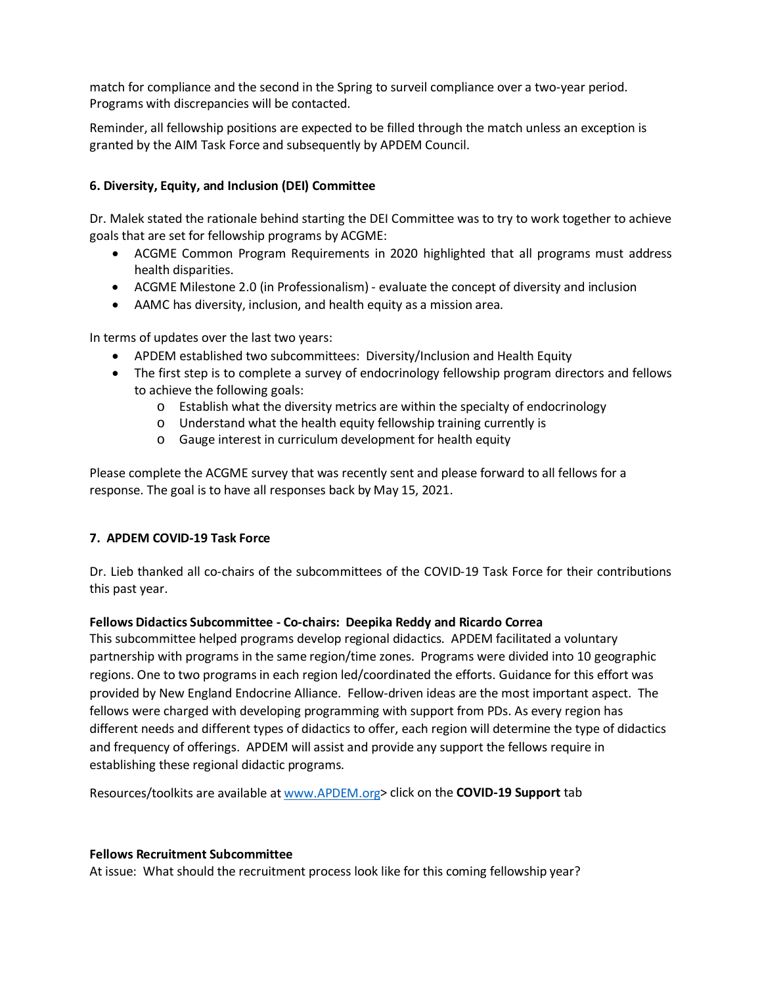match for compliance and the second in the Spring to surveil compliance over a two-year period. Programs with discrepancies will be contacted.

Reminder, all fellowship positions are expected to be filled through the match unless an exception is granted by the AIM Task Force and subsequently by APDEM Council.

## **6. Diversity, Equity, and Inclusion (DEI) Committee**

Dr. Malek stated the rationale behind starting the DEI Committee was to try to work together to achieve goals that are set for fellowship programs by ACGME:

- ACGME Common Program Requirements in 2020 highlighted that all programs must address health disparities.
- ACGME Milestone 2.0 (in Professionalism) evaluate the concept of diversity and inclusion
- AAMC has diversity, inclusion, and health equity as a mission area.

In terms of updates over the last two years:

- APDEM established two subcommittees: Diversity/Inclusion and Health Equity
- The first step is to complete a survey of endocrinology fellowship program directors and fellows to achieve the following goals:
	- $\circ$  Establish what the diversity metrics are within the specialty of endocrinology
	- o Understand what the health equity fellowship training currently is
	- o Gauge interest in curriculum development for health equity

Please complete the ACGME survey that was recently sent and please forward to all fellows for a response. The goal is to have all responses back by May 15, 2021.

## **7. APDEM COVID-19 Task Force**

Dr. Lieb thanked all co-chairs of the subcommittees of the COVID-19 Task Force for their contributions this past year.

## **Fellows Didactics Subcommittee - Co-chairs: Deepika Reddy and Ricardo Correa**

This subcommittee helped programs develop regional didactics. APDEM facilitated a voluntary partnership with programs in the same region/time zones. Programs were divided into 10 geographic regions. One to two programs in each region led/coordinated the efforts. Guidance for this effort was provided by New England Endocrine Alliance. Fellow-driven ideas are the most important aspect. The fellows were charged with developing programming with support from PDs. As every region has different needs and different types of didactics to offer, each region will determine the type of didactics and frequency of offerings. APDEM will assist and provide any support the fellows require in establishing these regional didactic programs.

Resources/toolkits are available a[t www.APDEM.org>](http://www.apdem.org/) click on the **COVID-19 Support** tab

#### **Fellows Recruitment Subcommittee**

At issue: What should the recruitment process look like for this coming fellowship year?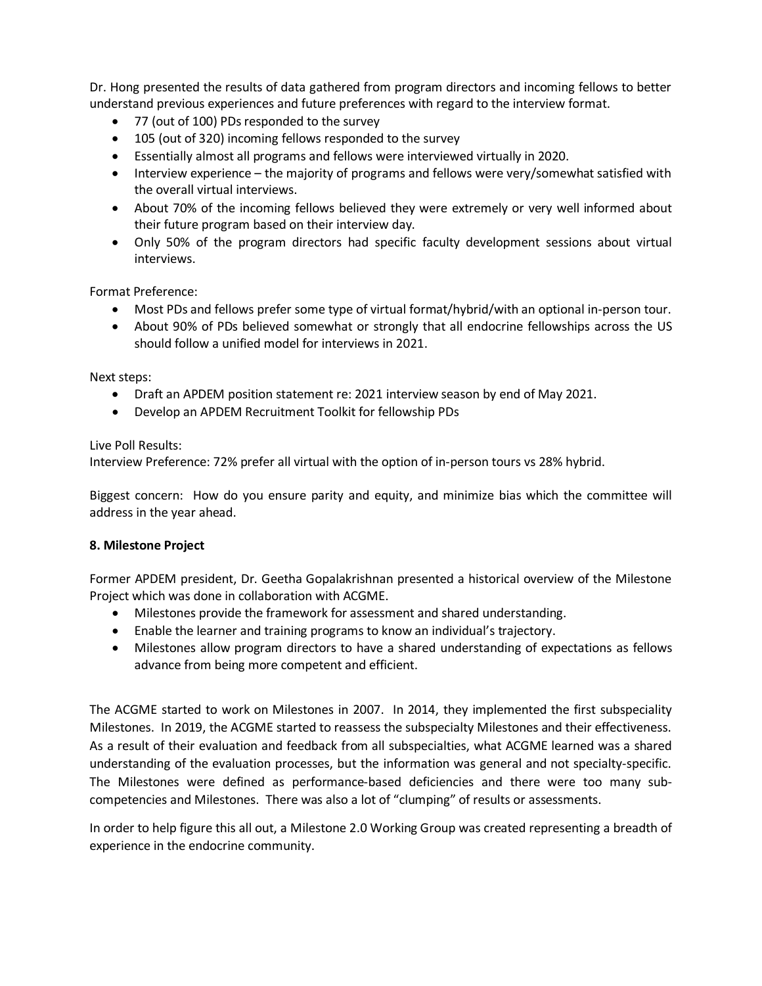Dr. Hong presented the results of data gathered from program directors and incoming fellows to better understand previous experiences and future preferences with regard to the interview format.

- 77 (out of 100) PDs responded to the survey
- 105 (out of 320) incoming fellows responded to the survey
- Essentially almost all programs and fellows were interviewed virtually in 2020.
- Interview experience the majority of programs and fellows were very/somewhat satisfied with the overall virtual interviews.
- About 70% of the incoming fellows believed they were extremely or very well informed about their future program based on their interview day.
- Only 50% of the program directors had specific faculty development sessions about virtual interviews.

Format Preference:

- Most PDs and fellows prefer some type of virtual format/hybrid/with an optional in-person tour.
- About 90% of PDs believed somewhat or strongly that all endocrine fellowships across the US should follow a unified model for interviews in 2021.

Next steps:

- Draft an APDEM position statement re: 2021 interview season by end of May 2021.
- Develop an APDEM Recruitment Toolkit for fellowship PDs

Live Poll Results:

Interview Preference: 72% prefer all virtual with the option of in-person tours vs 28% hybrid.

Biggest concern: How do you ensure parity and equity, and minimize bias which the committee will address in the year ahead.

## **8. Milestone Project**

Former APDEM president, Dr. Geetha Gopalakrishnan presented a historical overview of the Milestone Project which was done in collaboration with ACGME.

- Milestones provide the framework for assessment and shared understanding.
- Enable the learner and training programs to know an individual's trajectory.
- Milestones allow program directors to have a shared understanding of expectations as fellows advance from being more competent and efficient.

The ACGME started to work on Milestones in 2007. In 2014, they implemented the first subspeciality Milestones. In 2019, the ACGME started to reassess the subspecialty Milestones and their effectiveness. As a result of their evaluation and feedback from all subspecialties, what ACGME learned was a shared understanding of the evaluation processes, but the information was general and not specialty-specific. The Milestones were defined as performance-based deficiencies and there were too many subcompetencies and Milestones. There was also a lot of "clumping" of results or assessments.

In order to help figure this all out, a Milestone 2.0 Working Group was created representing a breadth of experience in the endocrine community.